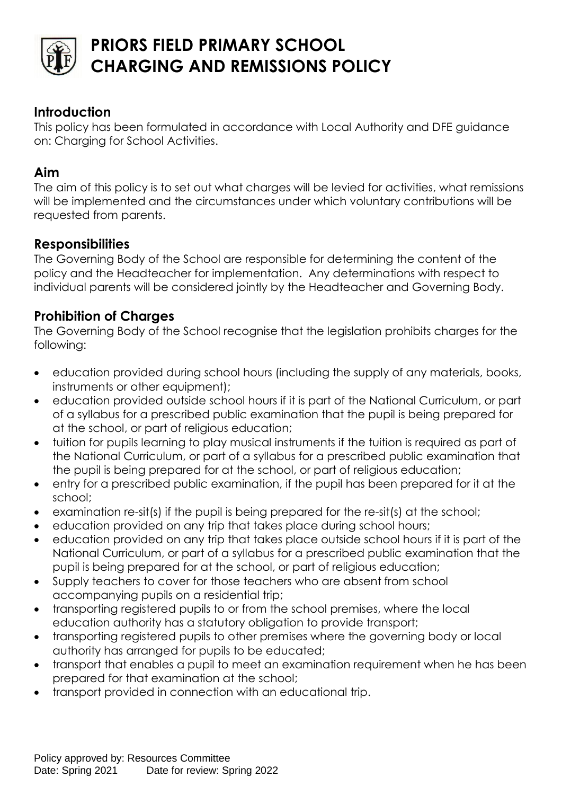

# **PRIORS FIELD PRIMARY SCHOOL CHARGING AND REMISSIONS POLICY**

## **Introduction**

This policy has been formulated in accordance with Local Authority and DFE guidance on: Charging for School Activities.

#### **Aim**

The aim of this policy is to set out what charges will be levied for activities, what remissions will be implemented and the circumstances under which voluntary contributions will be requested from parents.

#### **Responsibilities**

The Governing Body of the School are responsible for determining the content of the policy and the Headteacher for implementation. Any determinations with respect to individual parents will be considered jointly by the Headteacher and Governing Body.

## **Prohibition of Charges**

The Governing Body of the School recognise that the legislation prohibits charges for the following:

- education provided during school hours (including the supply of any materials, books, instruments or other equipment);
- education provided outside school hours if it is part of the National Curriculum, or part of a syllabus for a prescribed public examination that the pupil is being prepared for at the school, or part of religious education;
- tuition for pupils learning to play musical instruments if the tuition is required as part of the National Curriculum, or part of a syllabus for a prescribed public examination that the pupil is being prepared for at the school, or part of religious education;
- entry for a prescribed public examination, if the pupil has been prepared for it at the school;
- examination re-sit(s) if the pupil is being prepared for the re-sit(s) at the school;
- education provided on any trip that takes place during school hours;
- education provided on any trip that takes place outside school hours if it is part of the National Curriculum, or part of a syllabus for a prescribed public examination that the pupil is being prepared for at the school, or part of religious education;
- Supply teachers to cover for those teachers who are absent from school accompanying pupils on a residential trip;
- transporting registered pupils to or from the school premises, where the local education authority has a statutory obligation to provide transport;
- transporting registered pupils to other premises where the governing body or local authority has arranged for pupils to be educated;
- transport that enables a pupil to meet an examination requirement when he has been prepared for that examination at the school;
- transport provided in connection with an educational trip.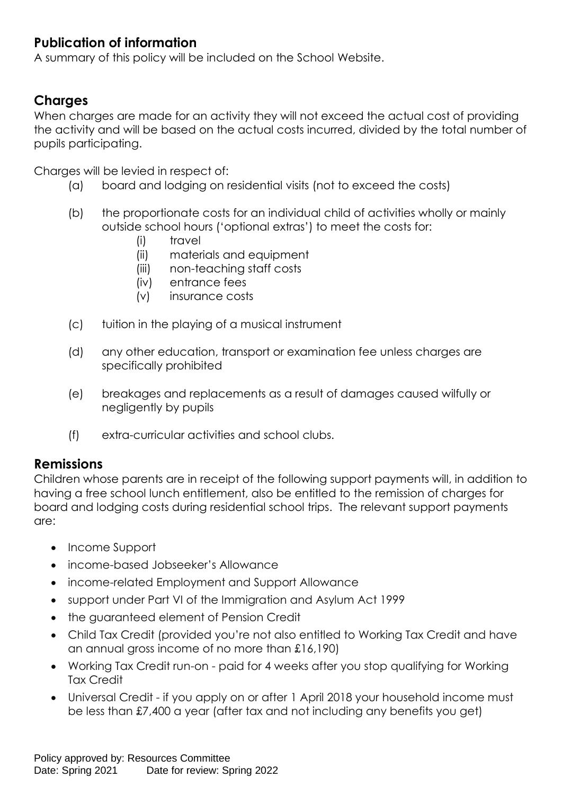# **Publication of information**

A summary of this policy will be included on the School Website.

## **Charges**

When charges are made for an activity they will not exceed the actual cost of providing the activity and will be based on the actual costs incurred, divided by the total number of pupils participating.

Charges will be levied in respect of:

- (a) board and lodging on residential visits (not to exceed the costs)
- (b) the proportionate costs for an individual child of activities wholly or mainly outside school hours ('optional extras') to meet the costs for:
	- (i) travel
	- (ii) materials and equipment
	- (iii) non-teaching staff costs
	- (iv) entrance fees
	- (v) insurance costs
- (c) tuition in the playing of a musical instrument
- (d) any other education, transport or examination fee unless charges are specifically prohibited
- (e) breakages and replacements as a result of damages caused wilfully or negligently by pupils
- (f) extra-curricular activities and school clubs.

#### **Remissions**

Children whose parents are in receipt of the following support payments will, in addition to having a free school lunch entitlement, also be entitled to the remission of charges for board and lodging costs during residential school trips. The relevant support payments are:

- Income Support
- income-based Jobseeker's Allowance
- income-related Employment and Support Allowance
- support under Part VI of the Immigration and Asylum Act 1999
- the guaranteed element of Pension Credit
- Child Tax Credit (provided you're not also entitled to Working Tax Credit and have an annual gross income of no more than £16,190)
- Working Tax Credit run-on paid for 4 weeks after you stop qualifying for Working Tax Credit
- Universal Credit if you apply on or after 1 April 2018 your household income must be less than £7,400 a year (after tax and not including any benefits you get)